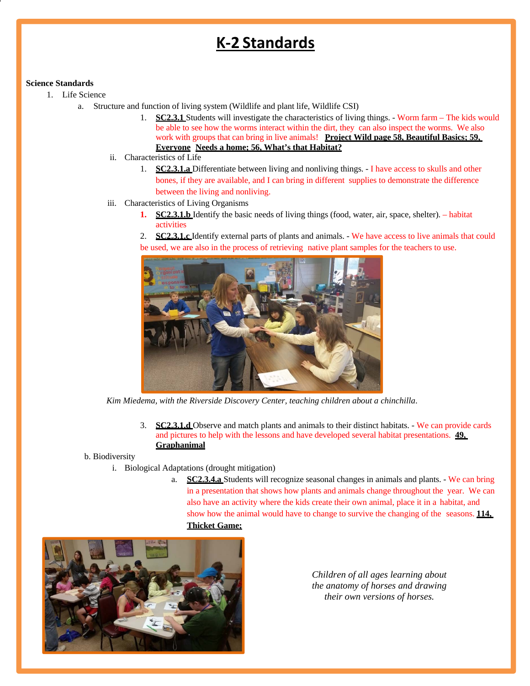## **K‐2 Standards**

## **Science Standards**

- 1. Life Science
	- a. Structure and function of living system (Wildlife and plant life, Wildlife CSI)
		- 1. **SC2.3.1** Students will investigate the characteristics of living things. Worm farm The kids would be able to see how the worms interact within the dirt, they can also inspect the worms. We also work with groups that can bring in live animals! **Project Wild page 58, Beautiful Basics; 59, Everyone Needs a home; 56, What's that Habitat?**
		- ii. Characteristics of Life
			- 1. **SC2.3.1.a** Differentiate between living and nonliving things. I have access to skulls and other bones, if they are available, and I can bring in different supplies to demonstrate the difference between the living and nonliving.
		- iii. Characteristics of Living Organisms
			- **1. SC2.3.1.b** Identify the basic needs of living things (food, water, air, space, shelter). habitat activities
			- 2. **SC2.3.1.c** Identify external parts of plants and animals. We have access to live animals that could be used, we are also in the process of retrieving native plant samples for the teachers to use.



*Kim Miedema, with the Riverside Discovery Center, teaching children about a chinchilla*.

3. **SC2.3.1.d** Observe and match plants and animals to their distinct habitats. - We can provide cards and pictures to help with the lessons and have developed several habitat presentations. **49, Graphanimal**

b. Biodiversity

- i. Biological Adaptations (drought mitigation)
	- a. **SC2.3.4.a** Students will recognize seasonal changes in animals and plants. We can bring in a presentation that shows how plants and animals change throughout the year. We can also have an activity where the kids create their own animal, place it in a habitat, and show how the animal would have to change to survive the changing of the seasons. **114**, **Thicket Game;**



*Children of all ages learning about the anatomy of horses and drawing their own versions of horses.*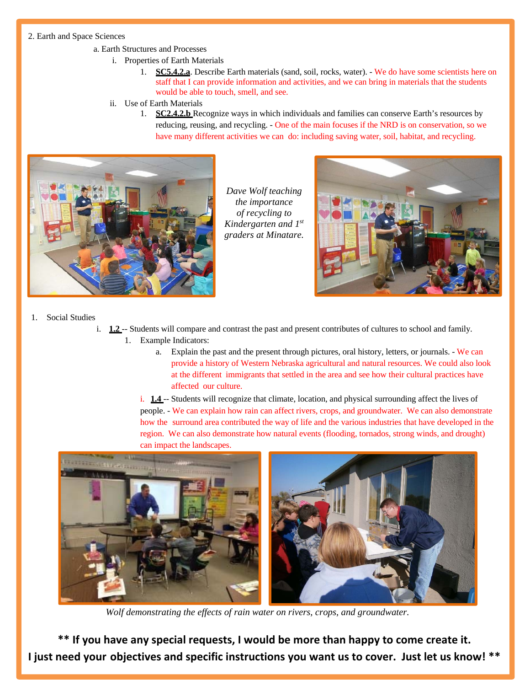## 2. Earth and Space Sciences

- a. Earth Structures and Processes
	- i. Properties of Earth Materials
		- 1. **SC5.4.2.a**. Describe Earth materials (sand, soil, rocks, water). We do have some scientists here on staff that I can provide information and activities, and we can bring in materials that the students would be able to touch, smell, and see.
	- ii. Use of Earth Materials
		- 1. **SC2.4.2.b** Recognize ways in which individuals and families can conserve Earth's resources by reducing, reusing, and recycling. - One of the main focuses if the NRD is on conservation, so we have many different activities we can do: including saving water, soil, habitat, and recycling.



*Dave Wolf teaching the importance of recycling to Kindergarten and 1st graders at Minatare.* 



- 1. Social Studies
	- i. **1.2** -- Students will compare and contrast the past and present contributes of cultures to school and family. 1. Example Indicators:
		- a. Explain the past and the present through pictures, oral history, letters, or journals. We can provide a history of Western Nebraska agricultural and natural resources. We could also look at the different immigrants that settled in the area and see how their cultural practices have affected our culture.

i. **1.4** -- Students will recognize that climate, location, and physical surrounding affect the lives of people. - We can explain how rain can affect rivers, crops, and groundwater. We can also demonstrate how the surround area contributed the way of life and the various industries that have developed in the region. We can also demonstrate how natural events (flooding, tornados, strong winds, and drought) can impact the landscapes.



 *Wolf demonstrating the effects of rain water on rivers, crops, and groundwater.*

**\*\* If you have any special requests, I would be more than happy to come create it. I just need your objectives and specific instructions you want us to cover. Just let us know! \*\***